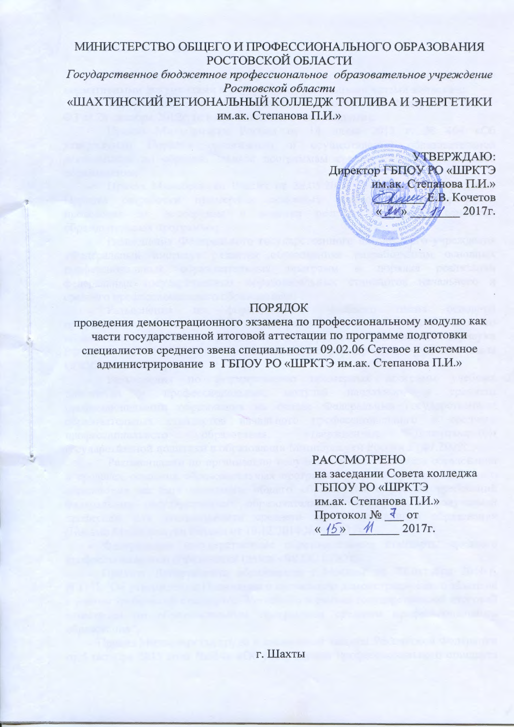## МИНИСТЕРСТВО ОБЩЕГО И ПРОФЕССИОНАЛЬНОГО ОБРАЗОВАНИЯ **РОСТОВСКОЙ ОБЛАСТИ**

Государственное бюджетное профессиональное образовательное учреждение Ростовской области «ШАХТИНСКИЙ РЕГИОНАЛЬНЫЙ КОЛЛЕДЖ ТОПЛИВА И ЭНЕРГЕТИКИ им.ак. Степанова П.И.»

> УТВЕРЖДАЮ: Директор ГБПОУ РО «ШРКТЭ им.ак. Степанова П.И.» *Clavel E.B.* KOYETOB  $\sqrt{7/2017}$ r.  $\left\langle \frac{d}{dx} \right\rangle$

### ПОРЯДОК

проведения демонстрационного экзамена по профессиональному модулю как части государственной итоговой аттестации по программе подготовки специалистов среднего звена специальности 09.02.06 Сетевое и системное алминистрирование в ГБПОУ РО «ШРКТЭ им.ак. Степанова П.И.»

> **PACCMOTPEHO** на заседании Совета колледжа **ГБПОУ РО «ШРКТЭ** им.ак. Степанова П.И.» Протокол № 7 от  $\frac{1}{5}$  M 2017г.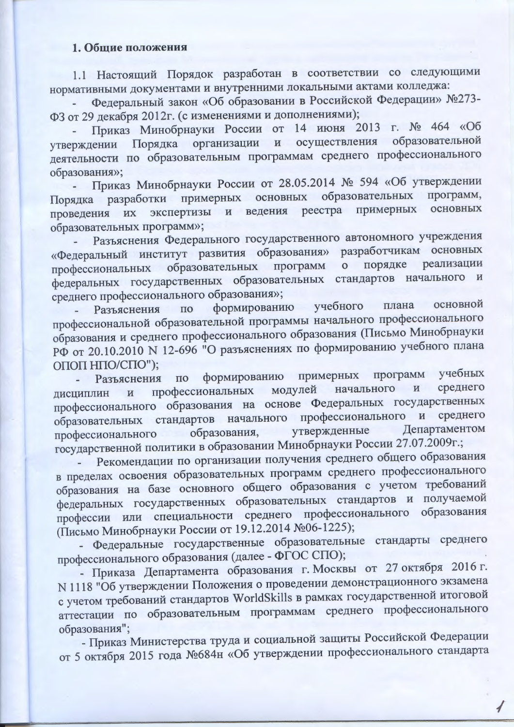#### 1. Общие положения

1.1 Настоящий Порядок разработан в соответствии со следующими<br>нормативными документами и внутренними локальными актами колледжа:<br>- Федеральный закон «Об образовании в Российской Федерации» №273-<br>ФЗ от 29 декабря 2012г. ( деятельности по образовательным программам среднего профессионального образования»;

- Приказ Минобрнауки России от 28.05.2014 № 594 «Об утверждении Порядка разработки примерных основных образовательных программ, экспертизы и ведения реестра примерных основных проведения их образовательных программ»;

ооразовательных программ»;<br>- Разъяснения Федерального государственного автономного учреждения<br>«Федеральный институт развития образования» разработчикам основных<br>профессиональных образовательных программ о порядке реализац

среднего профессионального ооразования»,<br>- Разъяснения по формированию учебного плана основной<br>профессиональной образовательной программы начального профессионального<br>образования и среднего профессионального образования ( ОПОП НПО/СПО");

Разъяснения по формированию примерных программ<br>лин и профессиональных модулей начального и учебных среднего дисциплин профессионального образования на основе Федеральных государственных<br>образовательных стандартов начального профессионального и среднего

образовательных стандартов начального профессионального и среднего профессионального образования, утвержденные Департаментом государственной политики в образовании Минобрнауки России 27.07.2009г.;<br>- Рекомендации по орган

образования";

- Приказ Министерства труда и социальной защиты Российской Федерации от 5 октября 2015 года №684н «Об утверждении профессионального стандарта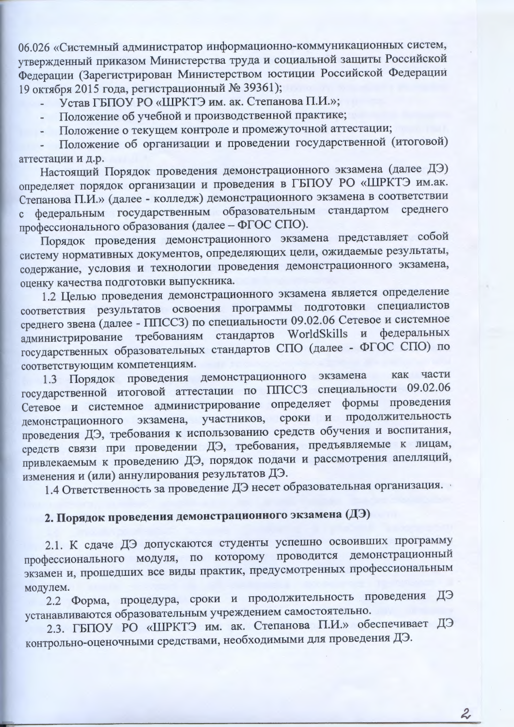06.026 «Системный администратор информационно-коммуникационных систем, утвержденный приказом Министерства труда и социальной защиты Российской Федерации (Зарегистрирован Министерством юстиции Российской Федерации 19 октября 2015 года, регистрационный № 39361);

Устав ГБПОУ РО «ШРКТЭ им. ак. Степанова П.И.»;

- Положение об учебной и производственной практике;
- Положение о текущем контроле и промежуточной аттестации;

Положение об организации и проведении государственной (итоговой) аттестации и д.р.

Настоящий Порядок проведения демонстрационного экзамена (далее ДЭ) определяет порядок организации и проведения в ГБПОУ РО «ШРКТЭ им.ак. Степанова П.И.» (далее - колледж) демонстрационного экзамена в соответствии с федеральным государственным образовательным стандартом среднего профессионального образования (далее - ФГОС СПО).

Порядок проведения демонстрационного экзамена представляет собой систему нормативных документов, определяющих цели, ожидаемые результаты, содержание, условия и технологии проведения демонстрационного экзамена, оценку качества подготовки выпускника.

1.2 Целью проведения демонстрационного экзамена является определение соответствия результатов освоения программы подготовки специалистов среднего звена (далее - ППССЗ) по специальности 09.02.06 Сетевое и системное администрирование требованиям стандартов WorldSkills и федеральных государственных образовательных стандартов СПО (далее - ФГОС СПО) по соответствующим компетенциям.

1.3 Порядок проведения демонстрационного экзамена как части государственной итоговой аттестации по ППССЗ специальности 09.02.06 Сетевое и системное администрирование определяет формы проведения экзамена, участников, сроки и продолжительность демонстрационного проведения ДЭ, требования к использованию средств обучения и воспитания, средств связи при проведении ДЭ, требования, предъявляемые к лицам, привлекаемым к проведению ДЭ, порядок подачи и рассмотрения апелляций, изменения и (или) аннулирования результатов ДЭ.

1.4 Ответственность за проведение ДЭ несет образовательная организация.

# 2. Порядок проведения демонстрационного экзамена (ДЭ)

2.1. К сдаче ДЭ допускаются студенты успешно освоивших программу профессионального модуля, по которому проводится демонстрационный экзамен и, прошедших все виды практик, предусмотренных профессиональным модулем.

2.2 Форма, процедура, сроки и продолжительность проведения ДЭ устанавливаются образовательным учреждением самостоятельно.

2.3. ГБПОУ РО «ШРКТЭ им. ак. Степанова П.И.» обеспечивает ДЭ контрольно-оценочными средствами, необходимыми для проведения ДЭ.

 $\mathcal{Z}$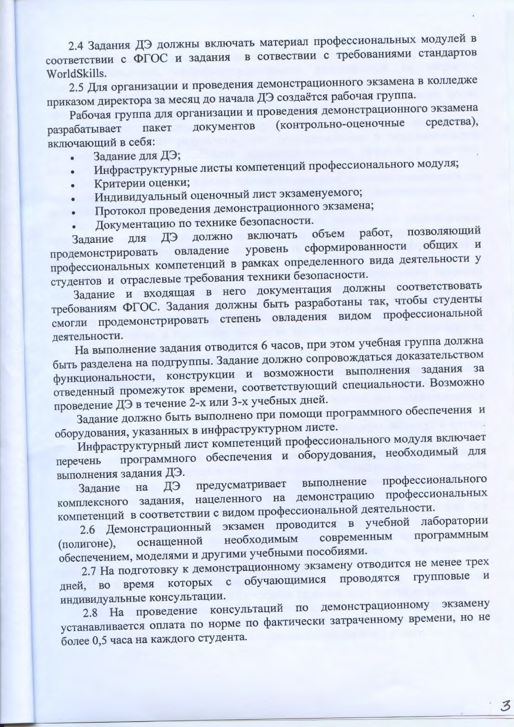2.4 Задания ДЭ должны включать материал профессиональных модулей в соответствии с ФГОС и задания в сотвествии с требованиями стандартов WorldSkills.

2.5 Для организации и проведения демонстрационного экзамена в колледже приказом директора за месяц до начала ДЭ создаётся рабочая группа.

Рабочая группа для организации и проведения демонстрационного экзамена документов (контрольно-оценочные средства). пакет разрабатывает включающий в себя:

- Залание для ДЭ;
- Инфраструктурные листы компетенций профессионального модуля;
- Критерии оценки;
- Индивидуальный оценочный лист экзаменуемого;
- Протокол проведения демонстрационного экзамена;
- Документацию по технике безопасности.

объем работ, позволяющий включать должно ДЭ Задание для сформированности общих уровень овладение продемонстрировать профессиональных компетенций в рамках определенного вида деятельности у студентов и отраслевые требования техники безопасности.

Задание и входящая в него документация должны соответствовать требованиям ФГОС. Задания должны быть разработаны так, чтобы студенты смогли продемонстрировать степень овладения видом профессиональной леятельности.

На выполнение задания отводится 6 часов, при этом учебная группа должна быть разделена на подгруппы. Задание должно сопровождаться доказательством функциональности, конструкции и возможности выполнения задания за отведенный промежуток времени, соответствующий специальности. Возможно проведение ДЭ в течение 2-х или 3-х учебных дней.

Задание должно быть выполнено при помощи программного обеспечения и оборудования, указанных в инфраструктурном листе.

Инфраструктурный лист компетенций профессионального модуля включает программного обеспечения и оборудования, необходимый для перечень выполнения задания ДЭ.

профессионального выполнение предусматривает ДЭ на Залание комплексного задания, нацеленного на демонстрацию профессиональных компетенций в соответствии с видом профессиональной деятельности.

2.6 Демонстрационный экзамен проводится в учебной лаборатории программным современным необходимым оснащенной (полигоне), обеспечением, моделями и другими учебными пособиями.

2.7 На подготовку к демонстрационному экзамену отводится не менее трех с обучающимися проводятся групповые **H** которых время дней, во индивидуальные консультации.

2.8 На проведение консультаций по демонстрационному экзамену устанавливается оплата по норме по фактически затраченному времени, но не более 0,5 часа на каждого студента.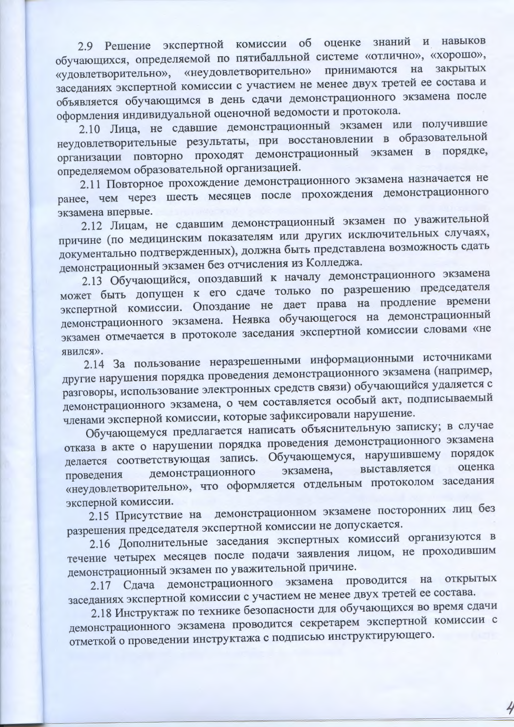2.9 Решение экспертной комиссии об оценке знаний и навыков обучающихся, определяемой по пятибалльной системе «отлично», «хорошо», «удовлетворительно», «неудовлетворительно» принимаются на закрытых заседаниях экспертной комиссии с участием не менее двух третей ее состава и объявляется обучающимся в день сдачи демонстрационного экзамена после оформления индивидуальной оценочной ведомости и протокола.

2.10 Лица, не сдавшие демонстрационный экзамен или получившие неудовлетворительные результаты, при восстановлении в образовательной организации повторно проходят демонстрационный экзамен в порядке, определяемом образовательной организацией.

2.11 Повторное прохождение демонстрационного экзамена назначается не ранее, чем через шесть месяцев после прохождения демонстрационного экзамена впервые.

2.12 Лицам, не сдавшим демонстрационный экзамен по уважительной причине (по медицинским показателям или других исключительных случаях, документально подтвержденных), должна быть представлена возможность сдать демонстрационный экзамен без отчисления из Колледжа.

2.13 Обучающийся, опоздавший к началу демонстрационного экзамена может быть допущен к его сдаче только по разрешению председателя экспертной комиссии. Опоздание не дает права на продление времени демонстрационного экзамена. Неявка обучающегося на демонстрационный экзамен отмечается в протоколе заседания экспертной комиссии словами «не явился».

2.14 За пользование неразрешенными информационными источниками другие нарушения порядка проведения демонстрационного экзамена (например, разговоры, использование электронных средств связи) обучающийся удаляется с демонстрационного экзамена, о чем составляется особый акт, подписываемый членами эксперной комиссии, которые зафиксировали нарушение.

Обучающемуся предлагается написать объяснительную записку; в случае отказа в акте о нарушении порядка проведения демонстрационного экзамена делается соответствующая запись. Обучающемуся, нарушившему порядок оценка выставляется демонстрационного экзамена, проведения «неудовлетворительно», что оформляется отдельным протоколом заседания эксперной комиссии.

2.15 Присутствие на демонстрационном экзамене посторонних лиц без разрешения председателя экспертной комиссии не допускается.

2.16 Дополнительные заседания экспертных комиссий организуются в течение четырех месяцев после подачи заявления лицом, не проходившим демонстрационный экзамен по уважительной причине.

Сдача демонстрационного экзамена проводится на открытых 2.17 заседаниях экспертной комиссии с участием не менее двух третей ее состава.

2.18 Инструктаж по технике безопасности для обучающихся во время сдачи демонстрационного экзамена проводится секретарем экспертной комиссии с отметкой о проведении инструктажа с подписью инструктирующего.